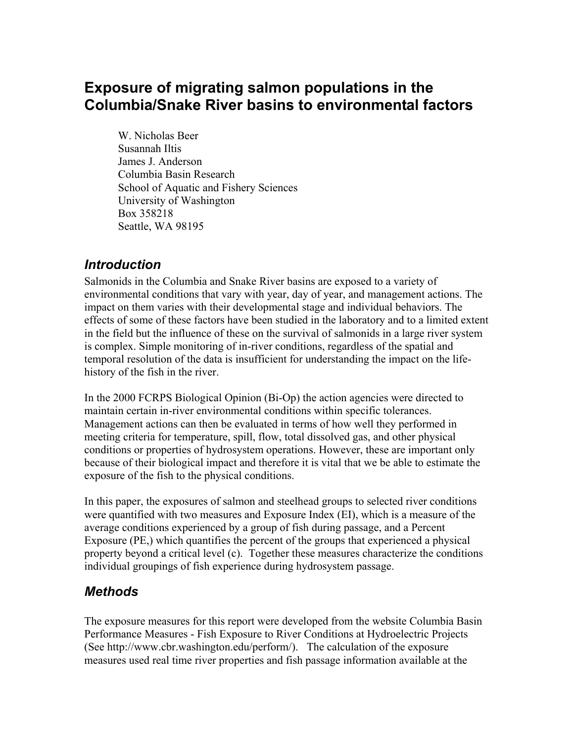# **Exposure of migrating salmon populations in the Columbia/Snake River basins to environmental factors**

W. Nicholas Beer Susannah Iltis James J. Anderson Columbia Basin Research School of Aquatic and Fishery Sciences University of Washington Box 358218 Seattle, WA 98195

## *Introduction*

Salmonids in the Columbia and Snake River basins are exposed to a variety of environmental conditions that vary with year, day of year, and management actions. The impact on them varies with their developmental stage and individual behaviors. The effects of some of these factors have been studied in the laboratory and to a limited extent in the field but the influence of these on the survival of salmonids in a large river system is complex. Simple monitoring of in-river conditions, regardless of the spatial and temporal resolution of the data is insufficient for understanding the impact on the lifehistory of the fish in the river.

In the 2000 FCRPS Biological Opinion (Bi-Op) the action agencies were directed to maintain certain in-river environmental conditions within specific tolerances. Management actions can then be evaluated in terms of how well they performed in meeting criteria for temperature, spill, flow, total dissolved gas, and other physical conditions or properties of hydrosystem operations. However, these are important only because of their biological impact and therefore it is vital that we be able to estimate the exposure of the fish to the physical conditions.

In this paper, the exposures of salmon and steelhead groups to selected river conditions were quantified with two measures and Exposure Index (EI), which is a measure of the average conditions experienced by a group of fish during passage, and a Percent Exposure (PE,) which quantifies the percent of the groups that experienced a physical property beyond a critical level (c). Together these measures characterize the conditions individual groupings of fish experience during hydrosystem passage.

# *Methods*

The exposure measures for this report were developed from the website Columbia Basin Performance Measures - Fish Exposure to River Conditions at Hydroelectric Projects (See http://www.cbr.washington.edu/perform/). The calculation of the exposure measures used real time river properties and fish passage information available at the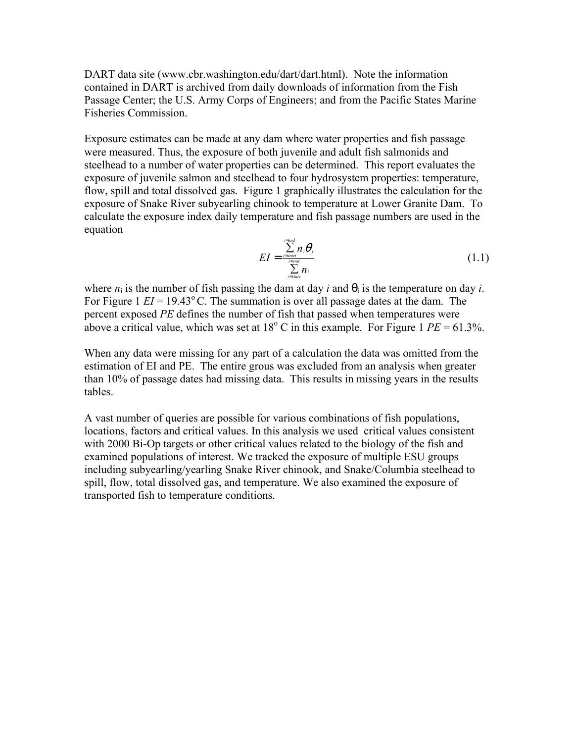DART data site (www.cbr.washington.edu/dart/dart.html). Note the information contained in DART is archived from daily downloads of information from the Fish Passage Center; the U.S. Army Corps of Engineers; and from the Pacific States Marine Fisheries Commission.

Exposure estimates can be made at any dam where water properties and fish passage were measured. Thus, the exposure of both juvenile and adult fish salmonids and steelhead to a number of water properties can be determined. This report evaluates the exposure of juvenile salmon and steelhead to four hydrosystem properties: temperature, flow, spill and total dissolved gas. Figure 1 graphically illustrates the calculation for the exposure of Snake River subyearling chinook to temperature at Lower Granite Dam. To calculate the exposure index daily temperature and fish passage numbers are used in the equation

$$
EI = \frac{\sum_{i=start}^{i=end} n_i \theta_i}{\sum_{i=start}^{i=end} n_i}
$$
 (1.1)

where  $n_i$  is the number of fish passing the dam at day *i* and  $\theta_i$  is the temperature on day *i*. For Figure 1  $EI = 19.43^{\circ}$  C. The summation is over all passage dates at the dam. The percent exposed *PE* defines the number of fish that passed when temperatures were above a critical value, which was set at  $18^{\circ}$  C in this example. For Figure 1  $PE = 61.3\%$ .

When any data were missing for any part of a calculation the data was omitted from the estimation of EI and PE. The entire grous was excluded from an analysis when greater than 10% of passage dates had missing data. This results in missing years in the results tables.

A vast number of queries are possible for various combinations of fish populations, locations, factors and critical values. In this analysis we used critical values consistent with 2000 Bi-Op targets or other critical values related to the biology of the fish and examined populations of interest. We tracked the exposure of multiple ESU groups including subyearling/yearling Snake River chinook, and Snake/Columbia steelhead to spill, flow, total dissolved gas, and temperature. We also examined the exposure of transported fish to temperature conditions.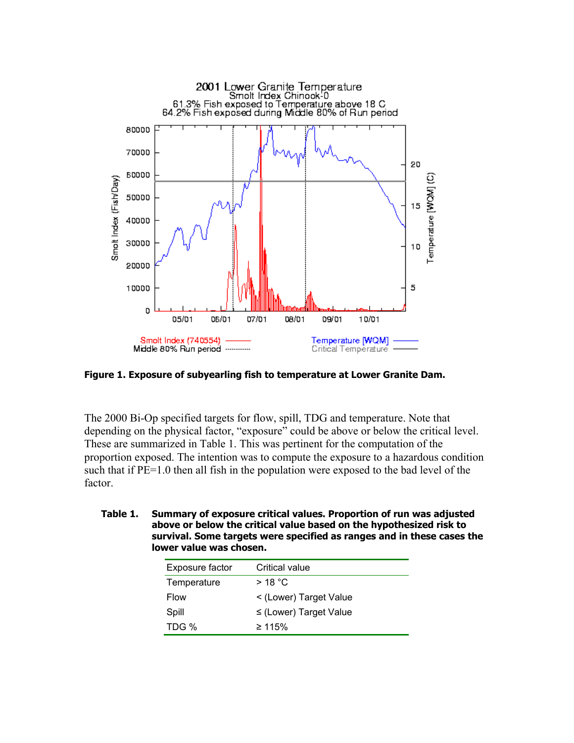

**Figure 1. Exposure of subyearling fish to temperature at Lower Granite Dam.**

The 2000 Bi-Op specified targets for flow, spill, TDG and temperature. Note that depending on the physical factor, "exposure" could be above or below the critical level. These are summarized in Table 1. This was pertinent for the computation of the proportion exposed. The intention was to compute the exposure to a hazardous condition such that if PE=1.0 then all fish in the population were exposed to the bad level of the factor.

**Table 1. Summary of exposure critical values. Proportion of run was adjusted above or below the critical value based on the hypothesized risk to survival. Some targets were specified as ranges and in these cases the lower value was chosen.** 

| Exposure factor | Critical value             |
|-----------------|----------------------------|
| Temperature     | $>18\degree$ C             |
| <b>Flow</b>     | < (Lower) Target Value     |
| Spill           | $\le$ (Lower) Target Value |
| TDG %           | ≥ 115%                     |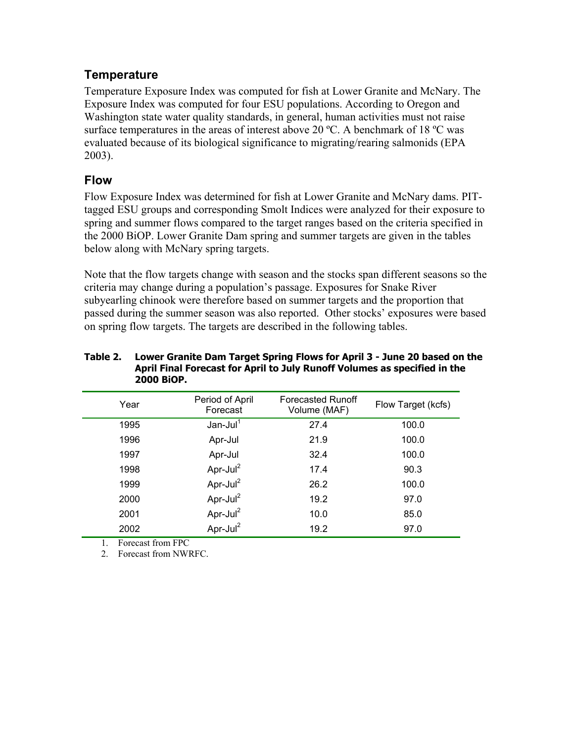### **Temperature**

Temperature Exposure Index was computed for fish at Lower Granite and McNary. The Exposure Index was computed for four ESU populations. According to Oregon and Washington state water quality standards, in general, human activities must not raise surface temperatures in the areas of interest above 20 °C. A benchmark of 18 °C was evaluated because of its biological significance to migrating/rearing salmonids (EPA 2003).

### **Flow**

Flow Exposure Index was determined for fish at Lower Granite and McNary dams. PITtagged ESU groups and corresponding Smolt Indices were analyzed for their exposure to spring and summer flows compared to the target ranges based on the criteria specified in the 2000 BiOP. Lower Granite Dam spring and summer targets are given in the tables below along with McNary spring targets.

Note that the flow targets change with season and the stocks span different seasons so the criteria may change during a population's passage. Exposures for Snake River subyearling chinook were therefore based on summer targets and the proportion that passed during the summer season was also reported. Other stocks' exposures were based on spring flow targets. The targets are described in the following tables.

#### **Table 2. Lower Granite Dam Target Spring Flows for April 3 - June 20 based on the April Final Forecast for April to July Runoff Volumes as specified in the 2000 BiOP.**

| Year | Period of April<br>Forecast | <b>Forecasted Runoff</b><br>Volume (MAF) | Flow Target (kcfs) |
|------|-----------------------------|------------------------------------------|--------------------|
| 1995 | $Jan$ -Jul $1$              | 27.4                                     | 100.0              |
| 1996 | Apr-Jul                     | 21.9                                     | 100.0              |
| 1997 | Apr-Jul                     | 32.4                                     | 100.0              |
| 1998 | Apr-Jul $^2$                | 17.4                                     | 90.3               |
| 1999 | Apr-Jul $^2$                | 26.2                                     | 100.0              |
| 2000 | Apr-Jul $^2$                | 19.2                                     | 97.0               |
| 2001 | Apr-Jul $^2$                | 10.0                                     | 85.0               |
| 2002 | Apr-Jul <sup>2</sup>        | 19.2                                     | 97.0               |

1. Forecast from FPC

2. Forecast from NWRFC.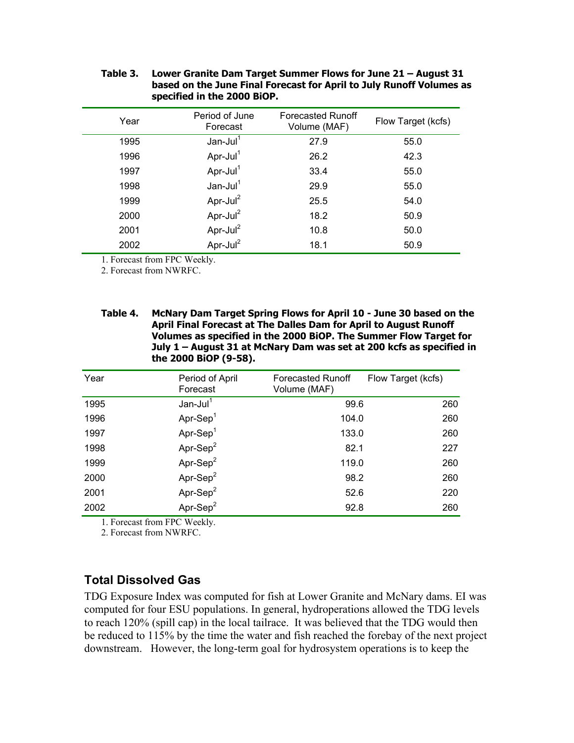|      | specified in the 2000 BIOP. |                                          |                    |
|------|-----------------------------|------------------------------------------|--------------------|
| Year | Period of June<br>Forecast  | <b>Forecasted Runoff</b><br>Volume (MAF) | Flow Target (kcfs) |
| 1995 | $Jan$ -Jul $1$              | 27.9                                     | 55.0               |
| 1996 | Apr-Jul $1$                 | 26.2                                     | 42.3               |
| 1997 | Apr-Jul $1$                 | 33.4                                     | 55.0               |
| 1998 | $Jan$ -Jul <sup>1</sup>     | 29.9                                     | 55.0               |
| 1999 | Apr-Jul <sup>2</sup>        | 25.5                                     | 54.0               |
| 2000 | Apr-Jul <sup>2</sup>        | 18.2                                     | 50.9               |
| 2001 | Apr-Jul <sup>2</sup>        | 10.8                                     | 50.0               |
| 2002 | Apr-Jul $^2$                | 18.1                                     | 50.9               |

#### **Table 3. Lower Granite Dam Target Summer Flows for June 21 – August 31 based on the June Final Forecast for April to July Runoff Volumes as specified in the 2000 BiOP.**

1. Forecast from FPC Weekly.

2. Forecast from NWRFC.

**Table 4. McNary Dam Target Spring Flows for April 10 - June 30 based on the April Final Forecast at The Dalles Dam for April to August Runoff Volumes as specified in the 2000 BiOP. The Summer Flow Target for July 1 – August 31 at McNary Dam was set at 200 kcfs as specified in the 2000 BiOP (9-58).** 

| Year | Period of April<br>Forecast | <b>Forecasted Runoff</b><br>Volume (MAF) | Flow Target (kcfs) |
|------|-----------------------------|------------------------------------------|--------------------|
| 1995 | $Jan$ -Jul <sup>1</sup>     | 99.6                                     | 260                |
| 1996 | Apr-Sep $1$                 | 104.0                                    | 260                |
| 1997 | $Apr-Sep1$                  | 133.0                                    | 260                |
| 1998 | Apr-Sep $2$                 | 82.1                                     | 227                |
| 1999 | Apr-Sep $2$                 | 119.0                                    | 260                |
| 2000 | Apr-Sep $2$                 | 98.2                                     | 260                |
| 2001 | Apr-Sep $2$                 | 52.6                                     | 220                |
| 2002 | $Ar-Sep2$                   | 92.8                                     | 260                |

1. Forecast from FPC Weekly.

2. Forecast from NWRFC.

## **Total Dissolved Gas**

TDG Exposure Index was computed for fish at Lower Granite and McNary dams. EI was computed for four ESU populations. In general, hydroperations allowed the TDG levels to reach 120% (spill cap) in the local tailrace. It was believed that the TDG would then be reduced to 115% by the time the water and fish reached the forebay of the next project downstream. However, the long-term goal for hydrosystem operations is to keep the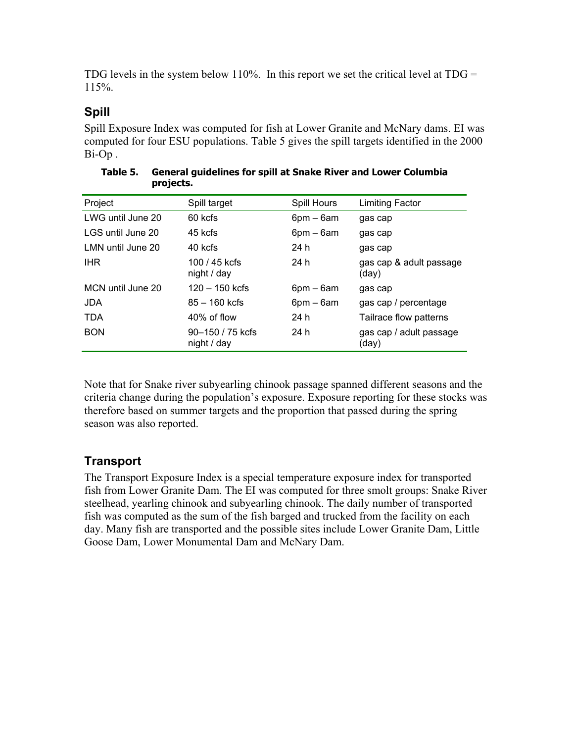TDG levels in the system below 110%. In this report we set the critical level at TDG  $=$ 115%.

## **Spill**

Spill Exposure Index was computed for fish at Lower Granite and McNary dams. EI was computed for four ESU populations. Table 5 gives the spill targets identified in the 2000 Bi-Op .

| r - - , - - - - - |                                 |                 |                                  |
|-------------------|---------------------------------|-----------------|----------------------------------|
| Project           | Spill target                    | Spill Hours     | <b>Limiting Factor</b>           |
| LWG until June 20 | 60 kcfs                         | $6$ pm – $6$ am | gas cap                          |
| LGS until June 20 | 45 kcfs                         | $6pm - 6am$     | gas cap                          |
| LMN until June 20 | 40 kcfs                         | 24 h            | gas cap                          |
| <b>IHR</b>        | 100 / 45 kcfs<br>night / day    | 24 h            | gas cap & adult passage<br>(day) |
| MCN until June 20 | $120 - 150$ kcfs                | $6pm - 6am$     | gas cap                          |
| <b>JDA</b>        | $85 - 160$ kcfs                 | 6pm – 6am       | gas cap / percentage             |
| <b>TDA</b>        | 40% of flow                     | 24 h            | Tailrace flow patterns           |
| <b>BON</b>        | 90–150 / 75 kcfs<br>night / day | 24 h            | gas cap / adult passage<br>(day) |

| Table 5. | <b>General guidelines for spill at Snake River and Lower Columbia</b> |
|----------|-----------------------------------------------------------------------|
|          | projects.                                                             |

Note that for Snake river subyearling chinook passage spanned different seasons and the criteria change during the population's exposure. Exposure reporting for these stocks was therefore based on summer targets and the proportion that passed during the spring season was also reported.

## **Transport**

The Transport Exposure Index is a special temperature exposure index for transported fish from Lower Granite Dam. The EI was computed for three smolt groups: Snake River steelhead, yearling chinook and subyearling chinook. The daily number of transported fish was computed as the sum of the fish barged and trucked from the facility on each day. Many fish are transported and the possible sites include Lower Granite Dam, Little Goose Dam, Lower Monumental Dam and McNary Dam.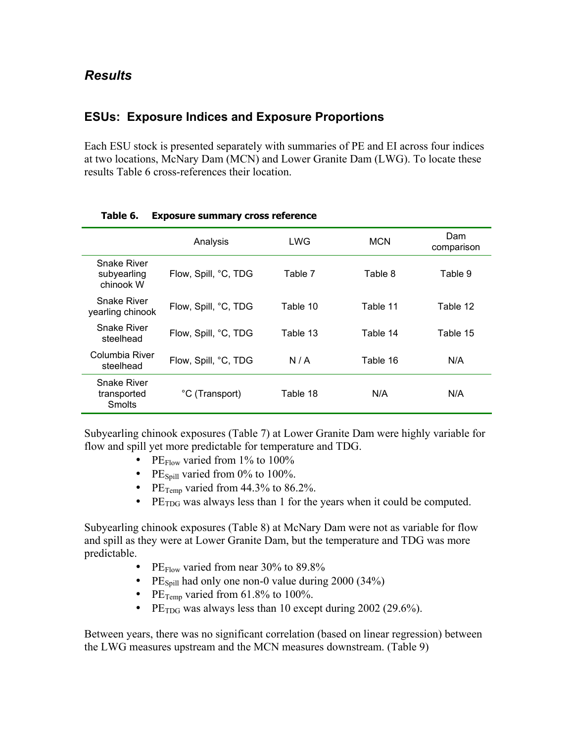### **ESUs: Exposure Indices and Exposure Proportions**

Each ESU stock is presented separately with summaries of PE and EI across four indices at two locations, McNary Dam (MCN) and Lower Granite Dam (LWG). To locate these results Table 6 cross-references their location.

|                                                    | Analysis             | LWG      | <b>MCN</b> | Dam<br>comparison |
|----------------------------------------------------|----------------------|----------|------------|-------------------|
| <b>Snake River</b><br>subyearling<br>chinook W     | Flow, Spill, °C, TDG | Table 7  | Table 8    | Table 9           |
| Snake River<br>yearling chinook                    | Flow, Spill, °C, TDG | Table 10 | Table 11   | Table 12          |
| <b>Snake River</b><br>steelhead                    | Flow, Spill, °C, TDG | Table 13 | Table 14   | Table 15          |
| Columbia River<br>steelhead                        | Flow, Spill, °C, TDG | N/A      | Table 16   | N/A               |
| <b>Snake River</b><br>transported<br><b>Smolts</b> | °C (Transport)       | Table 18 | N/A        | N/A               |

#### **Table 6. Exposure summary cross reference**

Subyearling chinook exposures (Table 7) at Lower Granite Dam were highly variable for flow and spill yet more predictable for temperature and TDG.

- PE $_{\text{Flow}}$  varied from 1% to 100%
- PE $_{\text{Spill}}$  varied from 0% to 100%.
- PE $_{Temp}$  varied from 44.3% to 86.2%.
- PE $_{\text{TDG}}$  was always less than 1 for the years when it could be computed.

Subyearling chinook exposures (Table 8) at McNary Dam were not as variable for flow and spill as they were at Lower Granite Dam, but the temperature and TDG was more predictable.

- PE $_{\text{Flow}}$  varied from near 30% to 89.8%
- PE $_{\text{Spill}}$  had only one non-0 value during 2000 (34%)
- PE $_{\text{Temp}}$  varied from 61.8% to 100%.
- PE<sub>TDG</sub> was always less than 10 except during 2002 (29.6%).

Between years, there was no significant correlation (based on linear regression) between the LWG measures upstream and the MCN measures downstream. (Table 9)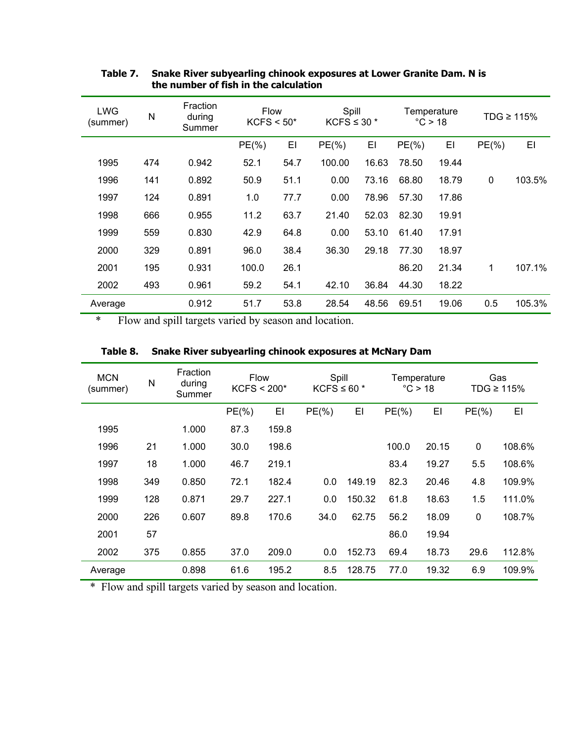| LWG<br>(summer) | N   | Fraction<br>during<br>Summer | <b>Flow</b><br>$KCFS < 50*$ |      | Spill<br>KCFS $\leq$ 30 $*$ |       | Temperature<br>°C > 18 |       | TDG $\geq 115\%$ |        |
|-----------------|-----|------------------------------|-----------------------------|------|-----------------------------|-------|------------------------|-------|------------------|--------|
|                 |     |                              | $PE(\% )$                   | EI   | $PE(\%)$                    | EI    | $PE(\%)$               | EI    | $PE(\% )$        | EI     |
| 1995            | 474 | 0.942                        | 52.1                        | 54.7 | 100.00                      | 16.63 | 78.50                  | 19.44 |                  |        |
| 1996            | 141 | 0.892                        | 50.9                        | 51.1 | 0.00                        | 73.16 | 68.80                  | 18.79 | $\mathbf 0$      | 103.5% |
| 1997            | 124 | 0.891                        | 1.0                         | 77.7 | 0.00                        | 78.96 | 57.30                  | 17.86 |                  |        |
| 1998            | 666 | 0.955                        | 11.2                        | 63.7 | 21.40                       | 52.03 | 82.30                  | 19.91 |                  |        |
| 1999            | 559 | 0.830                        | 42.9                        | 64.8 | 0.00                        | 53.10 | 61.40                  | 17.91 |                  |        |
| 2000            | 329 | 0.891                        | 96.0                        | 38.4 | 36.30                       | 29.18 | 77.30                  | 18.97 |                  |        |
| 2001            | 195 | 0.931                        | 100.0                       | 26.1 |                             |       | 86.20                  | 21.34 | 1                | 107.1% |
| 2002            | 493 | 0.961                        | 59.2                        | 54.1 | 42.10                       | 36.84 | 44.30                  | 18.22 |                  |        |
| Average         |     | 0.912                        | 51.7                        | 53.8 | 28.54                       | 48.56 | 69.51                  | 19.06 | 0.5              | 105.3% |

### **Table 7. Snake River subyearling chinook exposures at Lower Granite Dam. N is the number of fish in the calculation**

\* Flow and spill targets varied by season and location.

| <b>MCN</b><br>(summer) | N   | Fraction<br>during<br>Summer | <b>Flow</b><br>$KCFS < 200*$ |       | Spill<br>KCFS $\leq 60$ * |        | Temperature<br>$\degree$ C > 18 |       | Gas<br>TDG ≥ 115% |        |
|------------------------|-----|------------------------------|------------------------------|-------|---------------------------|--------|---------------------------------|-------|-------------------|--------|
|                        |     |                              | $PE(\%)$                     | EI    | $PE(\% )$                 | EI     | $PE(\%)$                        | EI    | $PE(\% )$         | EI     |
| 1995                   |     | 1.000                        | 87.3                         | 159.8 |                           |        |                                 |       |                   |        |
| 1996                   | 21  | 1.000                        | 30.0                         | 198.6 |                           |        | 100.0                           | 20.15 | 0                 | 108.6% |
| 1997                   | 18  | 1.000                        | 46.7                         | 219.1 |                           |        | 83.4                            | 19.27 | 5.5               | 108.6% |
| 1998                   | 349 | 0.850                        | 72.1                         | 182.4 | 0.0                       | 149.19 | 82.3                            | 20.46 | 4.8               | 109.9% |
| 1999                   | 128 | 0.871                        | 29.7                         | 227.1 | 0.0                       | 150.32 | 61.8                            | 18.63 | 1.5               | 111.0% |
| 2000                   | 226 | 0.607                        | 89.8                         | 170.6 | 34.0                      | 62.75  | 56.2                            | 18.09 | 0                 | 108.7% |
| 2001                   | 57  |                              |                              |       |                           |        | 86.0                            | 19.94 |                   |        |
| 2002                   | 375 | 0.855                        | 37.0                         | 209.0 | 0.0                       | 152.73 | 69.4                            | 18.73 | 29.6              | 112.8% |
| Average                |     | 0.898                        | 61.6                         | 195.2 | 8.5                       | 128.75 | 77.0                            | 19.32 | 6.9               | 109.9% |

### **Table 8. Snake River subyearling chinook exposures at McNary Dam**

\* Flow and spill targets varied by season and location.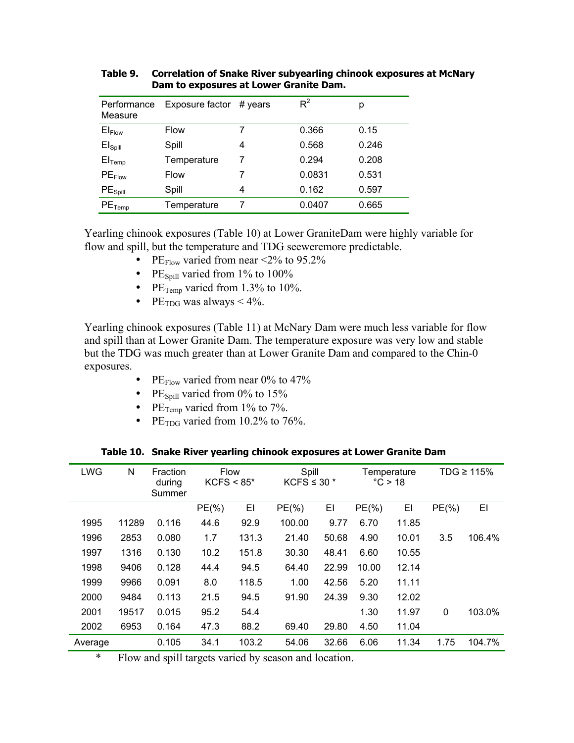| Performance<br>Measure | Exposure factor | # years | $R^2$  | р     |
|------------------------|-----------------|---------|--------|-------|
| $EI_{Flow}$            | <b>Flow</b>     | 7       | 0.366  | 0.15  |
| El <sub>Spill</sub>    | Spill           | 4       | 0.568  | 0.246 |
| $El$ <sub>Temp</sub>   | Temperature     | 7       | 0.294  | 0.208 |
| $PE$ Flow              | <b>Flow</b>     | 7       | 0.0831 | 0.531 |
| PE <sub>Spill</sub>    | Spill           | 4       | 0.162  | 0.597 |
| $PE$ Temp              | Temperature     | 7       | 0.0407 | 0.665 |

**Table 9. Correlation of Snake River subyearling chinook exposures at McNary Dam to exposures at Lower Granite Dam.** 

Yearling chinook exposures (Table 10) at Lower GraniteDam were highly variable for flow and spill, but the temperature and TDG seeweremore predictable.

- PE $_{\text{Flow}}$  varied from near <2% to 95.2%
- PE $_{\text{Snill}}$  varied from 1% to 100%
- PE $_{Temp}$  varied from 1.3% to 10%.
- PE<sub>TDG</sub> was always  $\leq 4\%$ .

Yearling chinook exposures (Table 11) at McNary Dam were much less variable for flow and spill than at Lower Granite Dam. The temperature exposure was very low and stable but the TDG was much greater than at Lower Granite Dam and compared to the Chin-0 exposures.

- PE $_{\text{Flow}}$  varied from near 0% to 47%
- PE $_{\text{Spill}}$  varied from 0% to 15%
- PE $_{\text{Temp}}$  varied from 1% to 7%.
- PE $_{\text{TDG}}$  varied from 10.2% to 76%.

| <b>LWG</b> | N     | Fraction<br>during<br>Summer | <b>Flow</b><br>$KCFS < 85*$ |       | Spill<br>KCFS $\leq$ 30 $*$ |       | Temperature<br>$\degree$ C > 18 |       | TDG $\geq 115\%$ |        |
|------------|-------|------------------------------|-----------------------------|-------|-----------------------------|-------|---------------------------------|-------|------------------|--------|
|            |       |                              | $PE(\%)$                    | EI    | $PE(\%)$                    | EI    | $PE(\%)$                        | EI    | $PE(\%)$         | EI     |
| 1995       | 11289 | 0.116                        | 44.6                        | 92.9  | 100.00                      | 9.77  | 6.70                            | 11.85 |                  |        |
| 1996       | 2853  | 0.080                        | 1.7                         | 131.3 | 21.40                       | 50.68 | 4.90                            | 10.01 | 3.5              | 106.4% |
| 1997       | 1316  | 0.130                        | 10.2                        | 151.8 | 30.30                       | 48.41 | 6.60                            | 10.55 |                  |        |
| 1998       | 9406  | 0.128                        | 44.4                        | 94.5  | 64.40                       | 22.99 | 10.00                           | 12.14 |                  |        |
| 1999       | 9966  | 0.091                        | 8.0                         | 118.5 | 1.00                        | 42.56 | 5.20                            | 11.11 |                  |        |
| 2000       | 9484  | 0.113                        | 21.5                        | 94.5  | 91.90                       | 24.39 | 9.30                            | 12.02 |                  |        |
| 2001       | 19517 | 0.015                        | 95.2                        | 54.4  |                             |       | 1.30                            | 11.97 | $\mathbf 0$      | 103.0% |
| 2002       | 6953  | 0.164                        | 47.3                        | 88.2  | 69.40                       | 29.80 | 4.50                            | 11.04 |                  |        |
| Average    |       | 0.105                        | 34.1                        | 103.2 | 54.06                       | 32.66 | 6.06                            | 11.34 | 1.75             | 104.7% |

**Table 10. Snake River yearling chinook exposures at Lower Granite Dam** 

\* Flow and spill targets varied by season and location.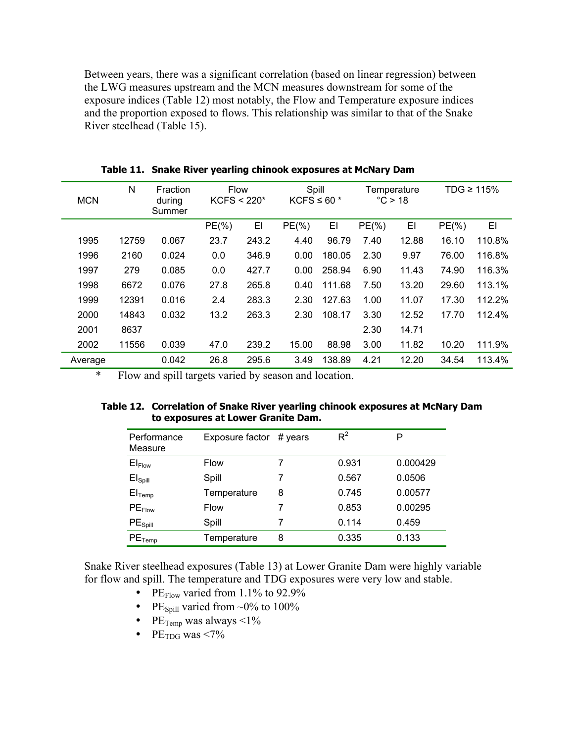Between years, there was a significant correlation (based on linear regression) between the LWG measures upstream and the MCN measures downstream for some of the exposure indices (Table 12) most notably, the Flow and Temperature exposure indices and the proportion exposed to flows. This relationship was similar to that of the Snake River steelhead (Table 15).

| <b>MCN</b> | N     | Fraction<br>during<br>Summer | <b>Flow</b><br>$KCFS < 220*$ |       | Spill<br>KCFS $\leq 60$ * |        | Temperature<br>°C > 18 |       | TDG $\geq 115\%$ |        |
|------------|-------|------------------------------|------------------------------|-------|---------------------------|--------|------------------------|-------|------------------|--------|
|            |       |                              | $PE(\%)$                     | EI    | $PE(\% )$                 | EI     | $PE(\% )$              | EI    | $PE(\%)$         | ΕI     |
| 1995       | 12759 | 0.067                        | 23.7                         | 243.2 | 4.40                      | 96.79  | 7.40                   | 12.88 | 16.10            | 110.8% |
| 1996       | 2160  | 0.024                        | 0.0                          | 346.9 | 0.00                      | 180.05 | 2.30                   | 9.97  | 76.00            | 116.8% |
| 1997       | 279   | 0.085                        | 0.0                          | 427.7 | 0.00                      | 258.94 | 6.90                   | 11.43 | 74.90            | 116.3% |
| 1998       | 6672  | 0.076                        | 27.8                         | 265.8 | 0.40                      | 111.68 | 7.50                   | 13.20 | 29.60            | 113.1% |
| 1999       | 12391 | 0.016                        | 2.4                          | 283.3 | 2.30                      | 127.63 | 1.00                   | 11.07 | 17.30            | 112.2% |
| 2000       | 14843 | 0.032                        | 13.2                         | 263.3 | 2.30                      | 108.17 | 3.30                   | 12.52 | 17.70            | 112.4% |
| 2001       | 8637  |                              |                              |       |                           |        | 2.30                   | 14.71 |                  |        |
| 2002       | 11556 | 0.039                        | 47.0                         | 239.2 | 15.00                     | 88.98  | 3.00                   | 11.82 | 10.20            | 111.9% |
| Average    |       | 0.042                        | 26.8                         | 295.6 | 3.49                      | 138.89 | 4.21                   | 12.20 | 34.54            | 113.4% |

**Table 11. Snake River yearling chinook exposures at McNary Dam** 

\* Flow and spill targets varied by season and location.

#### **Table 12. Correlation of Snake River yearling chinook exposures at McNary Dam to exposures at Lower Granite Dam.**

| Performance<br>Measure | Exposure factor | $# \vee$ years | $R^2$ | P        |
|------------------------|-----------------|----------------|-------|----------|
| $EI_{Flow}$            | <b>Flow</b>     | 7              | 0.931 | 0.000429 |
| El <sub>Spill</sub>    | Spill           |                | 0.567 | 0.0506   |
| $El$ <sub>Temp</sub>   | Temperature     | 8              | 0.745 | 0.00577  |
| $PE$ Flow              | <b>Flow</b>     | 7              | 0.853 | 0.00295  |
| PE <sub>Spill</sub>    | Spill           | 7              | 0.114 | 0.459    |
| $PE$ <sub>Temp</sub>   | Temperature     | 8              | 0.335 | 0.133    |

Snake River steelhead exposures (Table 13) at Lower Granite Dam were highly variable for flow and spill. The temperature and TDG exposures were very low and stable.

- PE $_{\text{Flow}}$  varied from 1.1% to 92.9%
- PE $_{\text{Spill}}$  varied from ~0% to 100%
- PE $_{Temp}$  was always <1%
- PE<sub>TDG</sub> was  $\leq 7\%$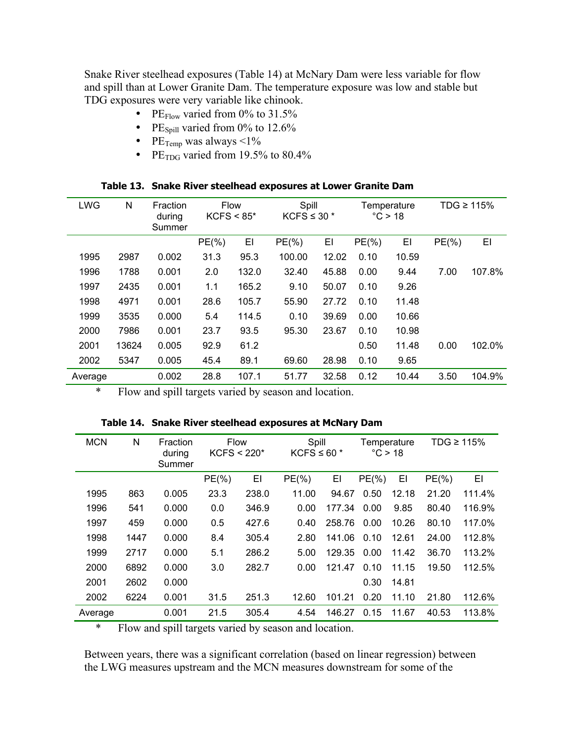Snake River steelhead exposures (Table 14) at McNary Dam were less variable for flow and spill than at Lower Granite Dam. The temperature exposure was low and stable but TDG exposures were very variable like chinook.

- PE $_{\text{Flow}}$  varied from 0% to 31.5%
- PE $_{\text{Spill}}$  varied from 0% to 12.6%
- PE $_{Temp}$  was always <1%
- PE<sub>TDG</sub> varied from 19.5% to  $80.4\%$

| <b>LWG</b> | N     | Fraction<br>during<br>Summer | <b>Flow</b><br>$KCFS < 85*$ |       | Spill<br>KCFS $\leq$ 30 $*$ |       | Temperature<br>$\degree$ C > 18 |       | TDG $\geq 115\%$ |        |
|------------|-------|------------------------------|-----------------------------|-------|-----------------------------|-------|---------------------------------|-------|------------------|--------|
|            |       |                              | $PE(\% )$                   | EI    | $PE(\% )$                   | EI    | $PE(\% )$                       | EI    | $PE(\% )$        | EI     |
| 1995       | 2987  | 0.002                        | 31.3                        | 95.3  | 100.00                      | 12.02 | 0.10                            | 10.59 |                  |        |
| 1996       | 1788  | 0.001                        | 2.0                         | 132.0 | 32.40                       | 45.88 | 0.00                            | 9.44  | 7.00             | 107.8% |
| 1997       | 2435  | 0.001                        | 1.1                         | 165.2 | 9.10                        | 50.07 | 0.10                            | 9.26  |                  |        |
| 1998       | 4971  | 0.001                        | 28.6                        | 105.7 | 55.90                       | 27.72 | 0.10                            | 11.48 |                  |        |
| 1999       | 3535  | 0.000                        | 5.4                         | 114.5 | 0.10                        | 39.69 | 0.00                            | 10.66 |                  |        |
| 2000       | 7986  | 0.001                        | 23.7                        | 93.5  | 95.30                       | 23.67 | 0.10                            | 10.98 |                  |        |
| 2001       | 13624 | 0.005                        | 92.9                        | 61.2  |                             |       | 0.50                            | 11.48 | 0.00             | 102.0% |
| 2002       | 5347  | 0.005                        | 45.4                        | 89.1  | 69.60                       | 28.98 | 0.10                            | 9.65  |                  |        |
| Average    |       | 0.002                        | 28.8                        | 107.1 | 51.77                       | 32.58 | 0.12                            | 10.44 | 3.50             | 104.9% |

**Table 13. Snake River steelhead exposures at Lower Granite Dam** 

\* Flow and spill targets varied by season and location.

| <b>MCN</b> | N    | Fraction<br>during<br>Summer | Flow<br>$KCFS < 220*$ |       | Spill<br>KCFS $\leq 60$ * |        | Temperature<br>$\degree$ C > 18 |       | TDG $\geq 115\%$ |        |
|------------|------|------------------------------|-----------------------|-------|---------------------------|--------|---------------------------------|-------|------------------|--------|
|            |      |                              | $PE(\%)$              | EI    | $PE(\% )$                 | EI     | $PE(\% )$                       | EI    | $PE(\% )$        | EI     |
| 1995       | 863  | 0.005                        | 23.3                  | 238.0 | 11.00                     | 94.67  | 0.50                            | 12.18 | 21.20            | 111.4% |
| 1996       | 541  | 0.000                        | 0.0                   | 346.9 | 0.00                      | 177.34 | 0.00                            | 9.85  | 80.40            | 116.9% |
| 1997       | 459  | 0.000                        | 0.5                   | 427.6 | 0.40                      | 258.76 | 0.00                            | 10.26 | 80.10            | 117.0% |
| 1998       | 1447 | 0.000                        | 8.4                   | 305.4 | 2.80                      | 141.06 | 0.10                            | 12.61 | 24.00            | 112.8% |
| 1999       | 2717 | 0.000                        | 5.1                   | 286.2 | 5.00                      | 129.35 | 0.00                            | 11.42 | 36.70            | 113.2% |
| 2000       | 6892 | 0.000                        | 3.0                   | 282.7 | 0.00                      | 121.47 | 0.10                            | 11.15 | 19.50            | 112.5% |
| 2001       | 2602 | 0.000                        |                       |       |                           |        | 0.30                            | 14.81 |                  |        |
| 2002       | 6224 | 0.001                        | 31.5                  | 251.3 | 12.60                     | 101.21 | 0.20                            | 11.10 | 21.80            | 112.6% |
| Average    |      | 0.001                        | 21.5                  | 305.4 | 4.54                      | 146.27 | 0.15                            | 11.67 | 40.53            | 113.8% |

**Table 14. Snake River steelhead exposures at McNary Dam** 

\* Flow and spill targets varied by season and location.

Between years, there was a significant correlation (based on linear regression) between the LWG measures upstream and the MCN measures downstream for some of the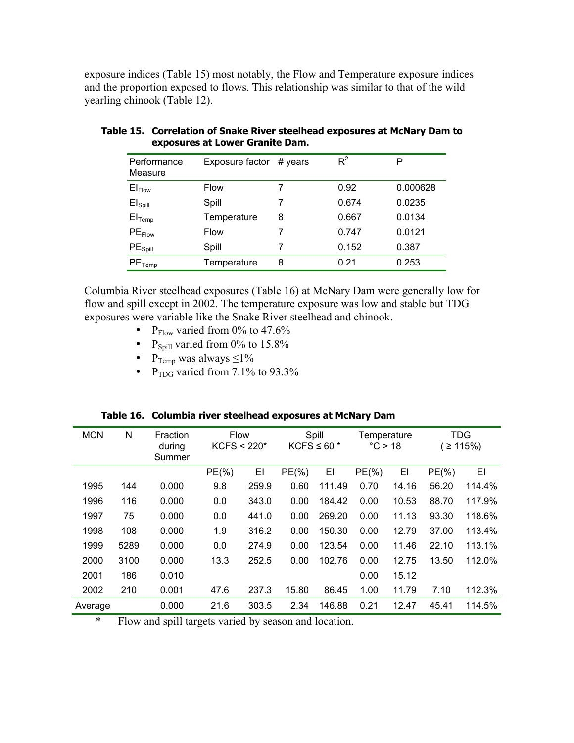exposure indices (Table 15) most notably, the Flow and Temperature exposure indices and the proportion exposed to flows. This relationship was similar to that of the wild yearling chinook (Table 12).

| Performance<br>Measure | Exposure factor | $# \vee$ years | $R^2$ | Р        |
|------------------------|-----------------|----------------|-------|----------|
| El <sub>Flow</sub>     | <b>Flow</b>     | 7              | 0.92  | 0.000628 |
| El <sub>Spill</sub>    | Spill           |                | 0.674 | 0.0235   |
| $El$ <sub>Temp</sub>   | Temperature     | 8              | 0.667 | 0.0134   |
| $PE$ Flow              | <b>Flow</b>     |                | 0.747 | 0.0121   |
| PE <sub>Spill</sub>    | Spill           | 7              | 0.152 | 0.387    |
| $PE$ Temp              | Temperature     | 8              | 0.21  | 0.253    |

**Table 15. Correlation of Snake River steelhead exposures at McNary Dam to exposures at Lower Granite Dam.** 

Columbia River steelhead exposures (Table 16) at McNary Dam were generally low for flow and spill except in 2002. The temperature exposure was low and stable but TDG exposures were variable like the Snake River steelhead and chinook.

- P<sub>Flow</sub> varied from 0% to 47.6%
- P<sub>Spill</sub> varied from  $0\%$  to 15.8%
- P<sub>Temp</sub> was always  $\leq 1\%$
- P<sub>TDG</sub> varied from  $7.1\%$  to  $93.3\%$

| <b>MCN</b> | N    | Fraction<br>during<br>Summer | <b>Flow</b><br>$KCFS < 220*$ |       | Spill<br>KCFS $\leq 60$ * |        | Temperature<br>°C > 18 |       | TDG<br>≥ 115% |        |
|------------|------|------------------------------|------------------------------|-------|---------------------------|--------|------------------------|-------|---------------|--------|
|            |      |                              | $PE(\%)$                     | EI    | $PE(\% )$                 | EI     | $PE(\%)$               | EI    | $PE(\% )$     | EI     |
| 1995       | 144  | 0.000                        | 9.8                          | 259.9 | 0.60                      | 111.49 | 0.70                   | 14.16 | 56.20         | 114.4% |
| 1996       | 116  | 0.000                        | 0.0                          | 343.0 | 0.00                      | 184.42 | 0.00                   | 10.53 | 88.70         | 117.9% |
| 1997       | 75   | 0.000                        | 0.0                          | 441.0 | 0.00                      | 269.20 | 0.00                   | 11.13 | 93.30         | 118.6% |
| 1998       | 108  | 0.000                        | 1.9                          | 316.2 | 0.00                      | 150.30 | 0.00                   | 12.79 | 37.00         | 113.4% |
| 1999       | 5289 | 0.000                        | 0.0                          | 274.9 | 0.00                      | 123.54 | 0.00                   | 11.46 | 22.10         | 113.1% |
| 2000       | 3100 | 0.000                        | 13.3                         | 252.5 | 0.00                      | 102.76 | 0.00                   | 12.75 | 13.50         | 112.0% |
| 2001       | 186  | 0.010                        |                              |       |                           |        | 0.00                   | 15.12 |               |        |
| 2002       | 210  | 0.001                        | 47.6                         | 237.3 | 15.80                     | 86.45  | 1.00                   | 11.79 | 7.10          | 112.3% |
| Average    |      | 0.000                        | 21.6                         | 303.5 | 2.34                      | 146.88 | 0.21                   | 12.47 | 45.41         | 114.5% |
|            |      |                              |                              |       | .                         |        |                        |       |               |        |

**Table 16. Columbia river steelhead exposures at McNary Dam** 

\* Flow and spill targets varied by season and location.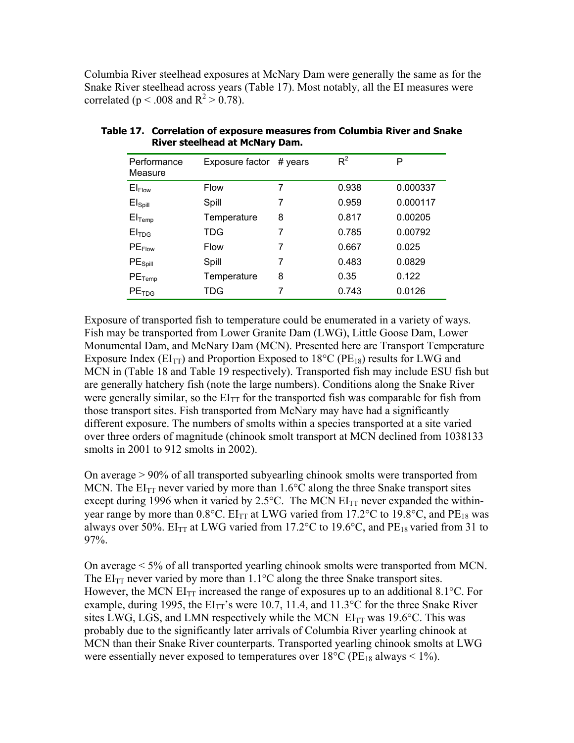Columbia River steelhead exposures at McNary Dam were generally the same as for the Snake River steelhead across years (Table 17). Most notably, all the EI measures were correlated ( $p < .008$  and  $R^2 > 0.78$ ).

| Performance<br>Measure | Exposure factor | $# \vee$ years | $R^2$ | P        |
|------------------------|-----------------|----------------|-------|----------|
| $EI_{Flow}$            | <b>Flow</b>     | 7              | 0.938 | 0.000337 |
| El <sub>Spill</sub>    | Spill           | 7              | 0.959 | 0.000117 |
| $El$ <sub>Temp</sub>   | Temperature     | 8              | 0.817 | 0.00205  |
| EI <sub>TDG</sub>      | TDG             | 7              | 0.785 | 0.00792  |
| $PE$ Flow              | <b>Flow</b>     | 7              | 0.667 | 0.025    |
| PE <sub>Spill</sub>    | Spill           | 7              | 0.483 | 0.0829   |
| $PE$ <sub>Temp</sub>   | Temperature     | 8              | 0.35  | 0.122    |
| PE <sub>TDG</sub>      | TDG             | 7              | 0.743 | 0.0126   |

**Table 17. Correlation of exposure measures from Columbia River and Snake River steelhead at McNary Dam.** 

Exposure of transported fish to temperature could be enumerated in a variety of ways. Fish may be transported from Lower Granite Dam (LWG), Little Goose Dam, Lower Monumental Dam, and McNary Dam (MCN). Presented here are Transport Temperature Exposure Index ( $EI_{TT}$ ) and Proportion Exposed to 18<sup>o</sup>C ( $PE_{18}$ ) results for LWG and MCN in (Table 18 and Table 19 respectively). Transported fish may include ESU fish but are generally hatchery fish (note the large numbers). Conditions along the Snake River were generally similar, so the  $EI_{TT}$  for the transported fish was comparable for fish from those transport sites. Fish transported from McNary may have had a significantly different exposure. The numbers of smolts within a species transported at a site varied over three orders of magnitude (chinook smolt transport at MCN declined from 1038133 smolts in 2001 to 912 smolts in 2002).

On average > 90% of all transported subyearling chinook smolts were transported from MCN. The  $EI_{TT}$  never varied by more than 1.6 $\degree$ C along the three Snake transport sites except during 1996 when it varied by 2.5 $^{\circ}$ C. The MCN EI<sub>TT</sub> never expanded the withinyear range by more than  $0.8^{\circ}$ C. EI<sub>TT</sub> at LWG varied from 17.2 $^{\circ}$ C to 19.8 $^{\circ}$ C, and PE<sub>18</sub> was always over 50%. EI<sub>TT</sub> at LWG varied from 17.2°C to 19.6°C, and PE<sub>18</sub> varied from 31 to 97%.

On average < 5% of all transported yearling chinook smolts were transported from MCN. The  $EI_{TT}$  never varied by more than 1.1<sup>o</sup>C along the three Snake transport sites. However, the MCN  $EI_{TT}$  increased the range of exposures up to an additional 8.1 $^{\circ}$ C. For example, during 1995, the  $EI_{TT}$ 's were 10.7, 11.4, and 11.3°C for the three Snake River sites LWG, LGS, and LMN respectively while the MCN  $EI_{TT}$  was 19.6°C. This was probably due to the significantly later arrivals of Columbia River yearling chinook at MCN than their Snake River counterparts. Transported yearling chinook smolts at LWG were essentially never exposed to temperatures over  $18^{\circ}C$  (PE<sub>18</sub> always < 1%).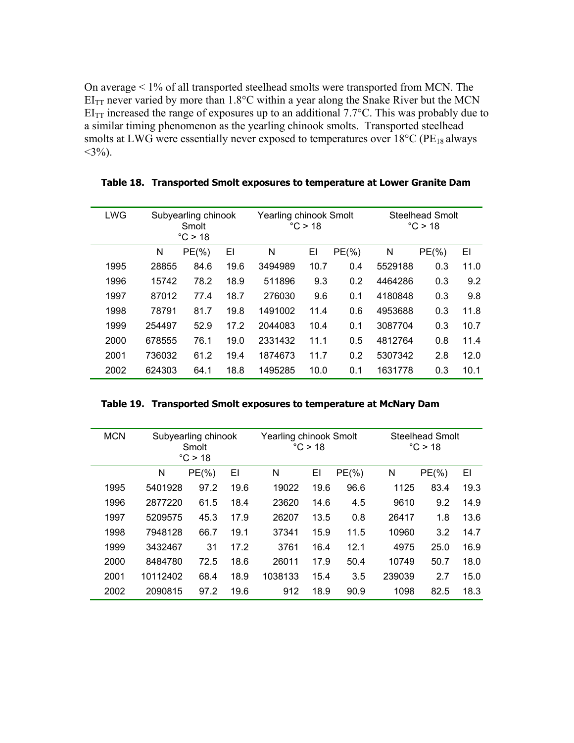On average < 1% of all transported steelhead smolts were transported from MCN. The  $EI_{TT}$  never varied by more than 1.8°C within a year along the Snake River but the MCN  $EI_{TT}$  increased the range of exposures up to an additional 7.7°C. This was probably due to a similar timing phenomenon as the yearling chinook smolts. Transported steelhead smolts at LWG were essentially never exposed to temperatures over  $18^{\circ}$ C (PE<sub>18</sub> always  $<$ 3%).

| <b>LWG</b> | Subyearling chinook<br>Smolt<br>°C > 18 |           |      | Yearling chinook Smolt | °C > 18 |           | <b>Steelhead Smolt</b><br>°C > 18 |           |      |
|------------|-----------------------------------------|-----------|------|------------------------|---------|-----------|-----------------------------------|-----------|------|
|            | N                                       | $PE(\% )$ | EI   | N                      | EI      | $PE(\% )$ | N                                 | $PE(\% )$ | EI   |
| 1995       | 28855                                   | 84.6      | 19.6 | 3494989                | 10.7    | 0.4       | 5529188                           | 0.3       | 11.0 |
| 1996       | 15742                                   | 78.2      | 18.9 | 511896                 | 9.3     | 0.2       | 4464286                           | 0.3       | 9.2  |
| 1997       | 87012                                   | 77.4      | 18.7 | 276030                 | 9.6     | 0.1       | 4180848                           | 0.3       | 9.8  |
| 1998       | 78791                                   | 81.7      | 19.8 | 1491002                | 11.4    | 0.6       | 4953688                           | 0.3       | 11.8 |
| 1999       | 254497                                  | 52.9      | 17.2 | 2044083                | 10.4    | 0.1       | 3087704                           | 0.3       | 10.7 |
| 2000       | 678555                                  | 76.1      | 19.0 | 2331432                | 11.1    | 0.5       | 4812764                           | 0.8       | 11.4 |
| 2001       | 736032                                  | 61.2      | 19.4 | 1874673                | 11.7    | 0.2       | 5307342                           | 2.8       | 12.0 |
| 2002       | 624303                                  | 64.1      | 18.8 | 1495285                | 10.0    | 0.1       | 1631778                           | 0.3       | 10.1 |

**Table 18. Transported Smolt exposures to temperature at Lower Granite Dam** 

| Table 19. Transported Smolt exposures to temperature at McNary Dam |  |  |
|--------------------------------------------------------------------|--|--|
|                                                                    |  |  |

| <b>MCN</b> | Subyearling chinook<br>Smolt |                  |      | Yearling chinook Smolt | $\degree$ C > 18 |          | Steelhead Smolt<br>°C > 18 |          |      |  |
|------------|------------------------------|------------------|------|------------------------|------------------|----------|----------------------------|----------|------|--|
|            |                              | $\degree$ C > 18 |      |                        |                  |          |                            |          |      |  |
|            | N                            | $PE(\%)$         | EI   | N                      | EI               | $PE(\%)$ | N                          | $PE(\%)$ | ΕI   |  |
| 1995       | 5401928                      | 97.2             | 19.6 | 19022                  | 19.6             | 96.6     | 1125                       | 83.4     | 19.3 |  |
| 1996       | 2877220                      | 61.5             | 18.4 | 23620                  | 14.6             | 4.5      | 9610                       | 9.2      | 14.9 |  |
| 1997       | 5209575                      | 45.3             | 17.9 | 26207                  | 13.5             | 0.8      | 26417                      | 1.8      | 13.6 |  |
| 1998       | 7948128                      | 66.7             | 19.1 | 37341                  | 15.9             | 11.5     | 10960                      | 3.2      | 14.7 |  |
| 1999       | 3432467                      | 31               | 17.2 | 3761                   | 16.4             | 12.1     | 4975                       | 25.0     | 16.9 |  |
| 2000       | 8484780                      | 72.5             | 18.6 | 26011                  | 17.9             | 50.4     | 10749                      | 50.7     | 18.0 |  |
| 2001       | 10112402                     | 68.4             | 18.9 | 1038133                | 15.4             | 3.5      | 239039                     | 2.7      | 15.0 |  |
| 2002       | 2090815                      | 97.2             | 19.6 | 912                    | 18.9             | 90.9     | 1098                       | 82.5     | 18.3 |  |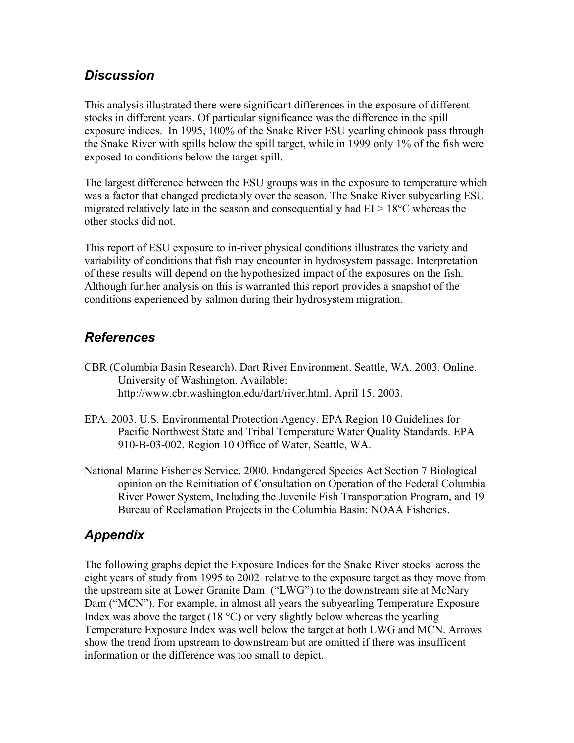## *Discussion*

This analysis illustrated there were significant differences in the exposure of different stocks in different years. Of particular significance was the difference in the spill exposure indices. In 1995, 100% of the Snake River ESU yearling chinook pass through the Snake River with spills below the spill target, while in 1999 only 1% of the fish were exposed to conditions below the target spill.

The largest difference between the ESU groups was in the exposure to temperature which was a factor that changed predictably over the season. The Snake River subyearling ESU migrated relatively late in the season and consequentially had  $EI > 18^{\circ}$ C whereas the other stocks did not.

This report of ESU exposure to in-river physical conditions illustrates the variety and variability of conditions that fish may encounter in hydrosystem passage. Interpretation of these results will depend on the hypothesized impact of the exposures on the fish. Although further analysis on this is warranted this report provides a snapshot of the conditions experienced by salmon during their hydrosystem migration.

# *References*

- CBR (Columbia Basin Research). Dart River Environment. Seattle, WA. 2003. Online. University of Washington. Available: http://www.cbr.washington.edu/dart/river.html. April 15, 2003.
- EPA. 2003. U.S. Environmental Protection Agency. EPA Region 10 Guidelines for Pacific Northwest State and Tribal Temperature Water Quality Standards. EPA 910-B-03-002. Region 10 Office of Water, Seattle, WA.
- National Marine Fisheries Service. 2000. Endangered Species Act Section 7 Biological opinion on the Reinitiation of Consultation on Operation of the Federal Columbia River Power System, Including the Juvenile Fish Transportation Program, and 19 Bureau of Reclamation Projects in the Columbia Basin: NOAA Fisheries.

# *Appendix*

The following graphs depict the Exposure Indices for the Snake River stocks across the eight years of study from 1995 to 2002 relative to the exposure target as they move from the upstream site at Lower Granite Dam ("LWG") to the downstream site at McNary Dam ("MCN"). For example, in almost all years the subyearling Temperature Exposure Index was above the target (18 °C) or very slightly below whereas the yearling Temperature Exposure Index was well below the target at both LWG and MCN. Arrows show the trend from upstream to downstream but are omitted if there was insufficent information or the difference was too small to depict.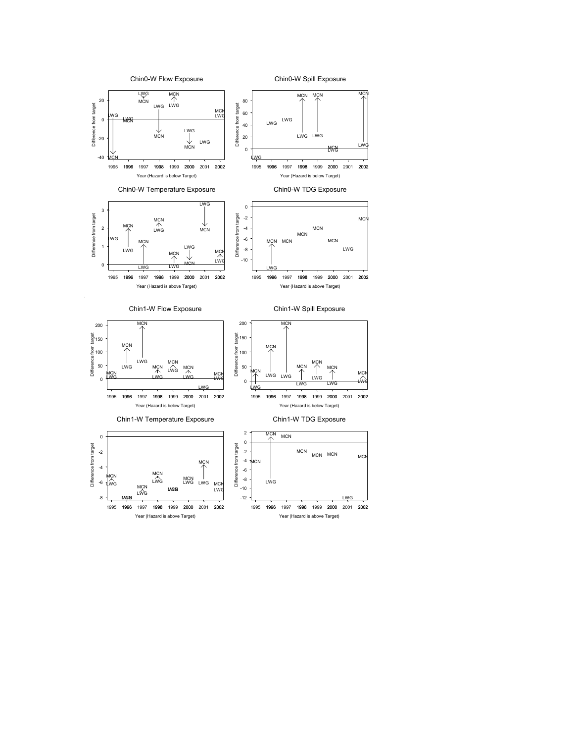